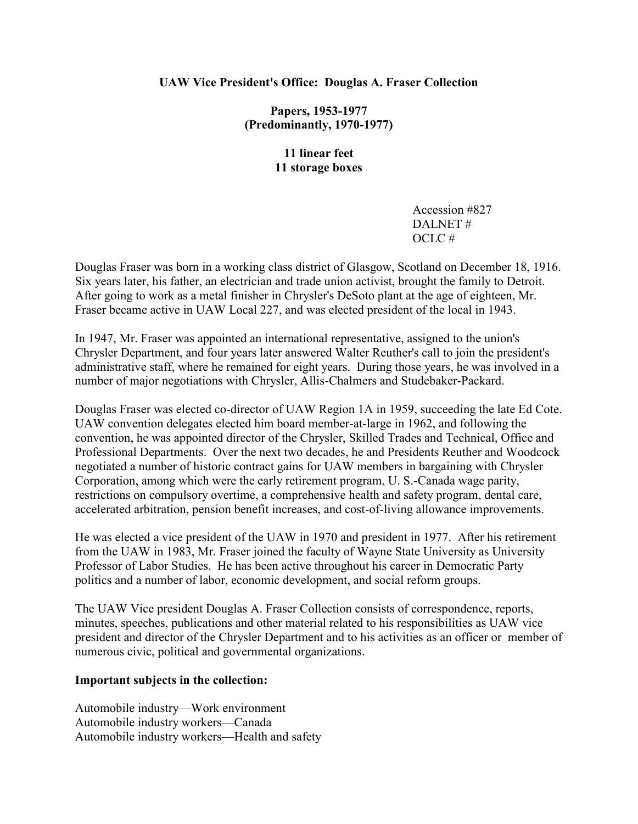# **UAW Vice President's Office: Douglas A. Fraser Collection**

**Papers, 1953-1977 (Predominantly, 1970-1977)**

> **11 linear feet 11 storage boxes**

> > Accession #827 DALNET # OCLC #

Douglas Fraser was born in a working class district of Glasgow, Scotland on December 18, 1916. Six years later, his father, an electrician and trade union activist, brought the family to Detroit. After going to work as a metal finisher in Chrysler's DeSoto plant at the age of eighteen, Mr. Fraser became active in UAW Local 227, and was elected president of the local in 1943.

In 1947, Mr. Fraser was appointed an international representative, assigned to the union's Chrysler Department, and four years later answered Walter Reuther's call to join the president's administrative staff, where he remained for eight years. During those years, he was involved in a number of major negotiations with Chrysler, Allis-Chalmers and Studebaker-Packard.

Douglas Fraser was elected co-director of UAW Region 1A in 1959, succeeding the late Ed Cote. UAW convention delegates elected him board member-at-large in 1962, and following the convention, he was appointed director of the Chrysler, Skilled Trades and Technical, Office and Professional Departments. Over the next two decades, he and Presidents Reuther and Woodcock negotiated a number of historic contract gains for UAW members in bargaining with Chrysler Corporation, among which were the early retirement program, U. S.-Canada wage parity, restrictions on compulsory overtime, a comprehensive health and safety program, dental care, accelerated arbitration, pension benefit increases, and cost-of-living allowance improvements.

He was elected a vice president of the UAW in 1970 and president in 1977. After his retirement from the UAW in 1983, Mr. Fraser joined the faculty of Wayne State University as University Professor of Labor Studies. He has been active throughout his career in Democratic Party politics and a number of labor, economic development, and social reform groups.

The UAW Vice president Douglas A. Fraser Collection consists of correspondence, reports, minutes, speeches, publications and other material related to his responsibilities as UAW vice president and director of the Chrysler Department and to his activities as an officer or member of numerous civic, political and governmental organizations.

# **Important subjects in the collection:**

Automobile industry—Work environment Automobile industry workers—Canada Automobile industry workers—Health and safety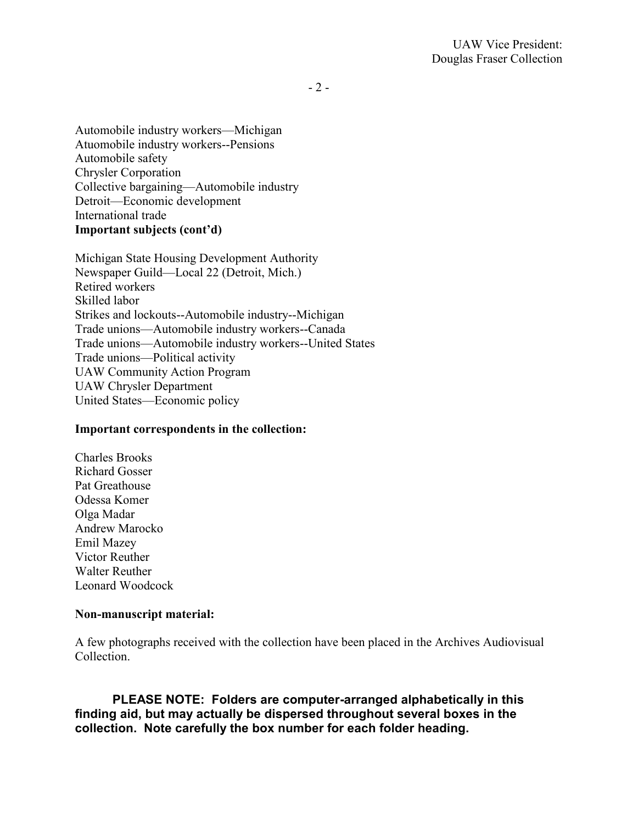$-2-$ 

Automobile industry workers—Michigan Atuomobile industry workers--Pensions Automobile safety Chrysler Corporation Collective bargaining—Automobile industry Detroit—Economic development International trade **Important subjects (cont'd)**

Michigan State Housing Development Authority Newspaper Guild—Local 22 (Detroit, Mich.) Retired workers Skilled labor Strikes and lockouts--Automobile industry--Michigan Trade unions—Automobile industry workers--Canada Trade unions—Automobile industry workers--United States Trade unions—Political activity UAW Community Action Program UAW Chrysler Department United States—Economic policy

# **Important correspondents in the collection:**

Charles Brooks Richard Gosser Pat Greathouse Odessa Komer Olga Madar Andrew Marocko Emil Mazey Victor Reuther Walter Reuther Leonard Woodcock

# **Non-manuscript material:**

A few photographs received with the collection have been placed in the Archives Audiovisual Collection.

**PLEASE NOTE: Folders are computer-arranged alphabetically in this finding aid, but may actually be dispersed throughout several boxes in the collection. Note carefully the box number for each folder heading.**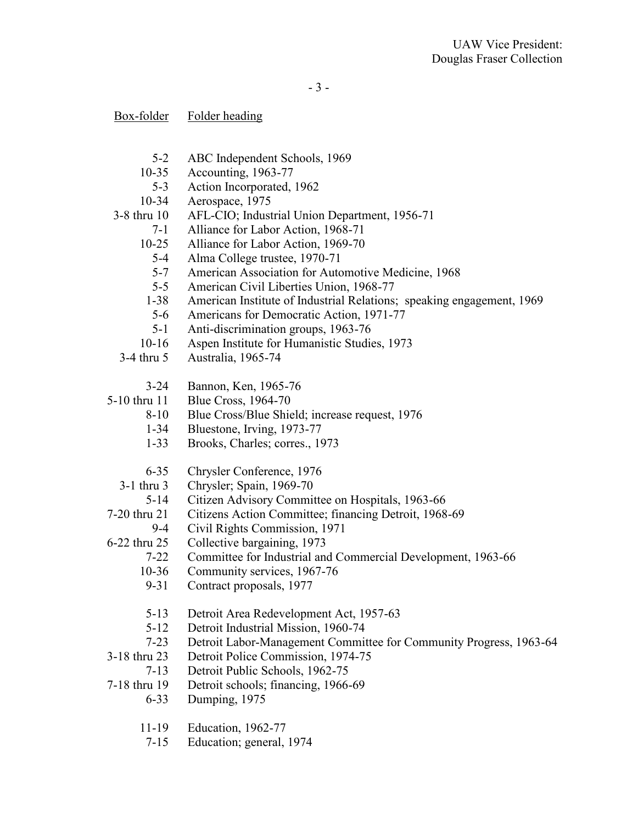| Box-folder | Folder heading |
|------------|----------------|
|            |                |

- 5-2 ABC Independent Schools, 1969
- 10-35 Accounting, 1963-77
- 5-3 Action Incorporated, 1962
- 10-34 Aerospace, 1975
- 3-8 thru 10 AFL-CIO; Industrial Union Department, 1956-71
	- 7-1 Alliance for Labor Action, 1968-71
	- 10-25 Alliance for Labor Action, 1969-70
		- 5-4 Alma College trustee, 1970-71
		- 5-7 American Association for Automotive Medicine, 1968
		- 5-5 American Civil Liberties Union, 1968-77
	- 1-38 American Institute of Industrial Relations; speaking engagement, 1969
	- 5-6 Americans for Democratic Action, 1971-77
	- 5-1 Anti-discrimination groups, 1963-76
	- 10-16 Aspen Institute for Humanistic Studies, 1973
- 3-4 thru 5 Australia, 1965-74
	- 3-24 Bannon, Ken, 1965-76
- 5-10 thru 11 Blue Cross, 1964-70
	- 8-10 Blue Cross/Blue Shield; increase request, 1976
	- 1-34 Bluestone, Irving, 1973-77
	- 1-33 Brooks, Charles; corres., 1973
	- 6-35 Chrysler Conference, 1976
	- 3-1 thru 3 Chrysler; Spain, 1969-70
	- 5-14 Citizen Advisory Committee on Hospitals, 1963-66
- 7-20 thru 21 Citizens Action Committee; financing Detroit, 1968-69
- 9-4 Civil Rights Commission, 1971
- 6-22 thru 25 Collective bargaining, 1973
	- 7-22 Committee for Industrial and Commercial Development, 1963-66
	- 10-36 Community services, 1967-76
	- 9-31 Contract proposals, 1977
	- 5-13 Detroit Area Redevelopment Act, 1957-63<br>5-12 Detroit Industrial Mission. 1960-74
	- 5-12 Detroit Industrial Mission, 1960-74<br>7-23 Detroit Labor-Management Commit
	- 7-23 Detroit Labor-Management Committee for Community Progress, 1963-64
- 3-18 thru 23 Detroit Police Commission, 1974-75
	- 7-13 Detroit Public Schools, 1962-75
- 7-18 thru 19 Detroit schools; financing, 1966-69
	- 6-33 Dumping, 1975
	- 11-19 Education, 1962-77
	- 7-15 Education; general, 1974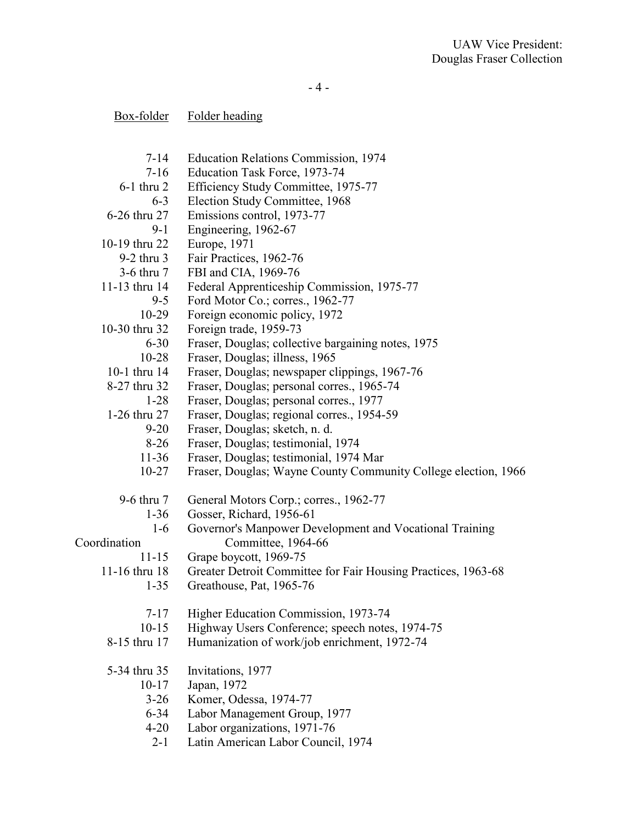- 4 -

| Box-folder | Folder heading |
|------------|----------------|
|            |                |

| $7 - 14$      | Education Relations Commission, 1974                           |
|---------------|----------------------------------------------------------------|
| $7 - 16$      | Education Task Force, 1973-74                                  |
| $6-1$ thru 2  | Efficiency Study Committee, 1975-77                            |
| $6 - 3$       | Election Study Committee, 1968                                 |
| 6-26 thru 27  | Emissions control, 1973-77                                     |
| $9 - 1$       | Engineering, 1962-67                                           |
| 10-19 thru 22 | Europe, 1971                                                   |
| $9-2$ thru 3  | Fair Practices, 1962-76                                        |
| 3-6 thru 7    | FBI and CIA, 1969-76                                           |
| 11-13 thru 14 | Federal Apprenticeship Commission, 1975-77                     |
| $9 - 5$       | Ford Motor Co.; corres., 1962-77                               |
| $10-29$       | Foreign economic policy, 1972                                  |
| 10-30 thru 32 | Foreign trade, 1959-73                                         |
| $6 - 30$      | Fraser, Douglas; collective bargaining notes, 1975             |
| $10 - 28$     | Fraser, Douglas; illness, 1965                                 |
| 10-1 thru 14  | Fraser, Douglas; newspaper clippings, 1967-76                  |
| 8-27 thru 32  | Fraser, Douglas; personal corres., 1965-74                     |
| $1 - 28$      | Fraser, Douglas; personal corres., 1977                        |
| 1-26 thru 27  | Fraser, Douglas; regional corres., 1954-59                     |
| $9 - 20$      | Fraser, Douglas; sketch, n. d.                                 |
| $8-26$        | Fraser, Douglas; testimonial, 1974                             |
| $11 - 36$     | Fraser, Douglas; testimonial, 1974 Mar                         |
| $10 - 27$     | Fraser, Douglas; Wayne County Community College election, 1966 |
| 9-6 thru 7    | General Motors Corp.; corres., 1962-77                         |
| $1 - 36$      | Gosser, Richard, 1956-61                                       |
| $1-6$         | Governor's Manpower Development and Vocational Training        |
| Coordination  | Committee, 1964-66                                             |
| $11 - 15$     | Grape boycott, 1969-75                                         |
| 11-16 thru 18 | Greater Detroit Committee for Fair Housing Practices, 1963-68  |
| $1 - 35$      | Greathouse, Pat, 1965-76                                       |
| $7 - 17$      | Higher Education Commission, 1973-74                           |
| $10-15$       | Highway Users Conference; speech notes, 1974-75                |
| 8-15 thru 17  | Humanization of work/job enrichment, 1972-74                   |
| 5-34 thru 35  | Invitations, 1977                                              |
| $10 - 17$     | Japan, 1972                                                    |
| $3-26$        | Komer, Odessa, 1974-77                                         |
| $6 - 34$      | Labor Management Group, 1977                                   |
| $4 - 20$      | Labor organizations, 1971-76                                   |
| $2 - 1$       | Latin American Labor Council, 1974                             |
|               |                                                                |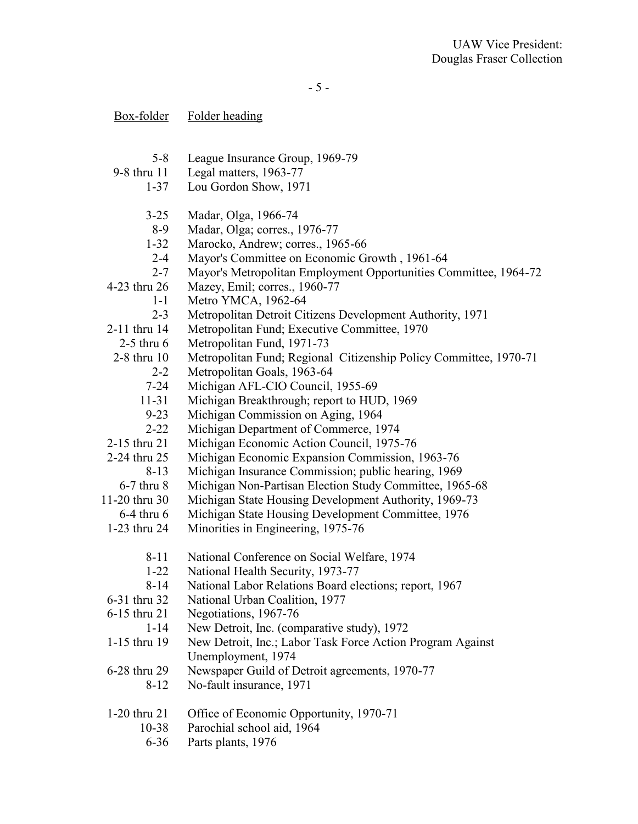- 5 -

| <u>Box-folder</u> | Folder heading                                                    |
|-------------------|-------------------------------------------------------------------|
|                   |                                                                   |
| $5 - 8$           | League Insurance Group, 1969-79                                   |
| 9-8 thru 11       | Legal matters, 1963-77                                            |
| $1 - 37$          | Lou Gordon Show, 1971                                             |
| $3 - 25$          | Madar, Olga, 1966-74                                              |
| $8-9$             | Madar, Olga; corres., 1976-77                                     |
| $1 - 32$          | Marocko, Andrew; corres., 1965-66                                 |
| $2 - 4$           | Mayor's Committee on Economic Growth, 1961-64                     |
| $2 - 7$           | Mayor's Metropolitan Employment Opportunities Committee, 1964-72  |
| 4-23 thru 26      | Mazey, Emil; corres., 1960-77                                     |
| $1-1$             | Metro YMCA, 1962-64                                               |
| $2 - 3$           | Metropolitan Detroit Citizens Development Authority, 1971         |
| 2-11 thru 14      | Metropolitan Fund; Executive Committee, 1970                      |
| $2-5$ thru 6      | Metropolitan Fund, 1971-73                                        |
| 2-8 thru 10       | Metropolitan Fund; Regional Citizenship Policy Committee, 1970-71 |
| $2 - 2$           | Metropolitan Goals, 1963-64                                       |
| $7 - 24$          | Michigan AFL-CIO Council, 1955-69                                 |
| $11 - 31$         | Michigan Breakthrough; report to HUD, 1969                        |
| $9 - 23$          | Michigan Commission on Aging, 1964                                |
| $2 - 22$          | Michigan Department of Commerce, 1974                             |
| 2-15 thru 21      | Michigan Economic Action Council, 1975-76                         |
| 2-24 thru 25      | Michigan Economic Expansion Commission, 1963-76                   |
| $8 - 13$          | Michigan Insurance Commission; public hearing, 1969               |
| $6-7$ thru $8$    | Michigan Non-Partisan Election Study Committee, 1965-68           |
| 11-20 thru 30     | Michigan State Housing Development Authority, 1969-73             |
| $6-4$ thru $6$    | Michigan State Housing Development Committee, 1976                |
| 1-23 thru 24      | Minorities in Engineering, 1975-76                                |
| $8 - 11$          | National Conference on Social Welfare, 1974                       |
| 1-22              | National Health Security, 1973-77                                 |
| $8 - 14$          | National Labor Relations Board elections; report, 1967            |
| 6-31 thru 32      | National Urban Coalition, 1977                                    |
| 6-15 thru 21      | Negotiations, 1967-76                                             |
| $1 - 14$          | New Detroit, Inc. (comparative study), 1972                       |
| 1-15 thru 19      | New Detroit, Inc.; Labor Task Force Action Program Against        |
|                   | Unemployment, 1974                                                |
| 6-28 thru 29      | Newspaper Guild of Detroit agreements, 1970-77                    |
| $8-12$            | No-fault insurance, 1971                                          |
| 1-20 thru 21      | Office of Economic Opportunity, 1970-71                           |
| $10 - 38$         | Parochial school aid, 1964                                        |
| $6 - 36$          | Parts plants, 1976                                                |
|                   |                                                                   |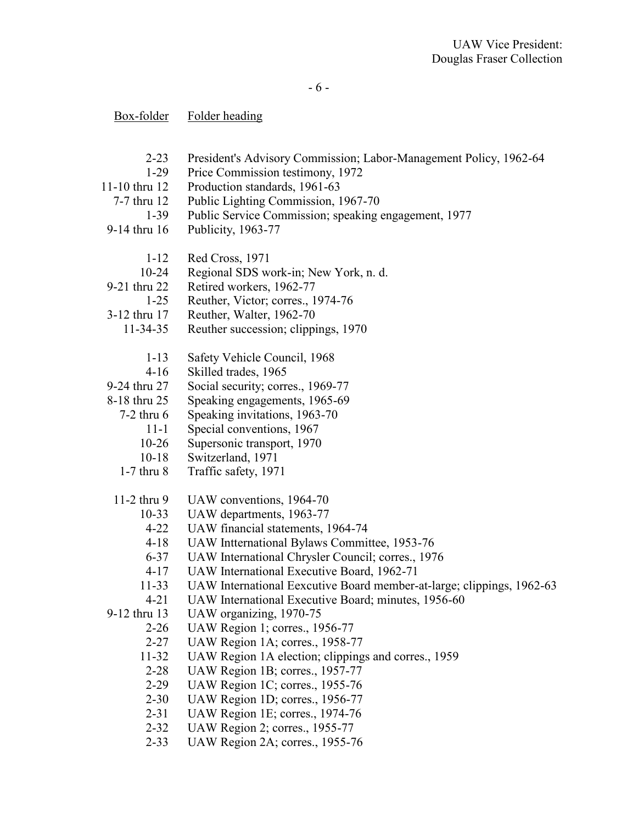# Box-folder Folder heading

- 2-23 President's Advisory Commission; Labor-Management Policy, 1962-64
- 1-29 Price Commission testimony, 1972
- 11-10 thru 12 Production standards, 1961-63
- 7-7 thru 12 Public Lighting Commission, 1967-70
	- 1-39 Public Service Commission; speaking engagement, 1977
- 9-14 thru 16 Publicity, 1963-77
	- 1-12 Red Cross, 1971
	- 10-24 Regional SDS work-in; New York, n. d.
- 9-21 thru 22 Retired workers, 1962-77
- 1-25 Reuther, Victor; corres., 1974-76
- 3-12 thru 17 Reuther, Walter, 1962-70
	- 11-34-35 Reuther succession; clippings, 1970
		- 1-13 Safety Vehicle Council, 1968
		- 4-16 Skilled trades, 1965
- 9-24 thru 27 Social security; corres., 1969-77
- 8-18 thru 25 Speaking engagements, 1965-69
	- 7-2 thru 6 Speaking invitations, 1963-70
		- 11-1 Special conventions, 1967
		- 10-26 Supersonic transport, 1970
		- 10-18 Switzerland, 1971
	- 1-7 thru 8 Traffic safety, 1971
- 11-2 thru 9 UAW conventions, 1964-70
	- 10-33 UAW departments, 1963-77
		- 4-22 UAW financial statements, 1964-74
		- 4-18 UAW Intternational Bylaws Committee, 1953-76
		- 6-37 UAW International Chrysler Council; corres., 1976
		- 4-17 UAW International Executive Board, 1962-71
		- 11-33 UAW International Eexcutive Board member-at-large; clippings, 1962-63
		- 4-21 UAW International Executive Board; minutes, 1956-60
- 9-12 thru 13 UAW organizing, 1970-75
	-
	- 2-26 UAW Region 1; corres., 1956-77<br>2-27 UAW Region 1A: corres., 1958-7 2-27 UAW Region 1A; corres., 1958-77
	- 11-32 UAW Region 1A election; clippings and corres., 1959
	- 2-28 UAW Region 1B; corres., 1957-77
	- 2-29 UAW Region 1C; corres., 1955-76
	- 2-30 UAW Region 1D; corres., 1956-77
	- 2-31 UAW Region 1E; corres., 1974-76
	- 2-32 UAW Region 2; corres., 1955-77
	- 2-33 UAW Region 2A; corres., 1955-76